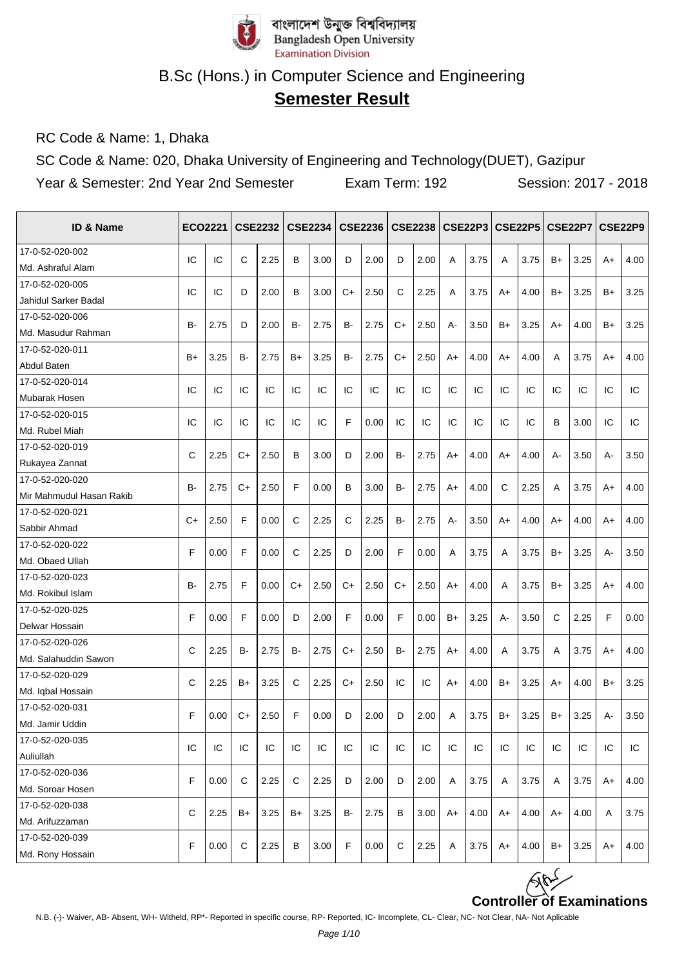

# **Semester Result**

RC Code & Name: 1, Dhaka

SC Code & Name: 020, Dhaka University of Engineering and Technology(DUET), Gazipur

| ID & Name                |              | <b>ECO2221</b> |      | <b>CSE2232</b> |      | CSE2234 |      | <b>CSE2236</b> |      | <b>CSE2238</b> |      |      |      | CSE22P3 CSE22P5 |       | CSE22P7   CSE22P9 |      |      |
|--------------------------|--------------|----------------|------|----------------|------|---------|------|----------------|------|----------------|------|------|------|-----------------|-------|-------------------|------|------|
| 17-0-52-020-002          | IC           | IC             | С    | 2.25           | B    | 3.00    | D    | 2.00           | D    | 2.00           | A    | 3.75 | A    | 3.75            | B+    | 3.25              | A+   | 4.00 |
| Md. Ashraful Alam        |              |                |      |                |      |         |      |                |      |                |      |      |      |                 |       |                   |      |      |
| 17-0-52-020-005          | IC           | IC             | D    | 2.00           | B    | 3.00    | $C+$ | 2.50           | C    | 2.25           | A    | 3.75 | A+   | 4.00            | B+    | 3.25              | $B+$ | 3.25 |
| Jahidul Sarker Badal     |              |                |      |                |      |         |      |                |      |                |      |      |      |                 |       |                   |      |      |
| 17-0-52-020-006          | B-           | 2.75           | D    | 2.00           | B-   | 2.75    | B-   | 2.75           | $C+$ | 2.50           | А-   | 3.50 | $B+$ | 3.25            | A+    | 4.00              | B+   | 3.25 |
| Md. Masudur Rahman       |              |                |      |                |      |         |      |                |      |                |      |      |      |                 |       |                   |      |      |
| 17-0-52-020-011          | $B+$         | 3.25           | B-   | 2.75           | $B+$ | 3.25    | B-   | 2.75           | $C+$ | 2.50           | $A+$ | 4.00 | $A+$ | 4.00            | A     | 3.75              | $A+$ | 4.00 |
| Abdul Baten              |              |                |      |                |      |         |      |                |      |                |      |      |      |                 |       |                   |      |      |
| 17-0-52-020-014          | IC           | IC             | IC   | IC             | IC   | IC      | IC   | IC             | IC   | IC             | IC   | IC   | IC   | IC              | IC    | IC                | IC   | IC   |
| Mubarak Hosen            |              |                |      |                |      |         |      |                |      |                |      |      |      |                 |       |                   |      |      |
| 17-0-52-020-015          | IC           | IC             | IC   | IC             | IC   | IC      | F    | 0.00           | IC   | IC             | IC   | IC   | IC   | IC              | В     | 3.00              | IC   | IC   |
| Md. Rubel Miah           |              |                |      |                |      |         |      |                |      |                |      |      |      |                 |       |                   |      |      |
| 17-0-52-020-019          | $\mathsf{C}$ | 2.25           | C+   | 2.50           | B    | 3.00    | D    | 2.00           | B-   | 2.75           | $A+$ | 4.00 | $A+$ | 4.00            | $A -$ | 3.50              | А-   | 3.50 |
| Rukayea Zannat           |              |                |      |                |      |         |      |                |      |                |      |      |      |                 |       |                   |      |      |
| 17-0-52-020-020          | B-           | 2.75           | C+   | 2.50           | F    | 0.00    | B    | 3.00           | B-   | 2.75           | A+   | 4.00 | C    | 2.25            | A     | 3.75              | A+   | 4.00 |
| Mir Mahmudul Hasan Rakib |              |                |      |                |      |         |      |                |      |                |      |      |      |                 |       |                   |      |      |
| 17-0-52-020-021          | $C+$         | 2.50           | F    | 0.00           | C    | 2.25    | C    | 2.25           | B-   | 2.75           | А-   | 3.50 | A+   | 4.00            | A+    | 4.00              | A+   | 4.00 |
| Sabbir Ahmad             |              |                |      |                |      |         |      |                |      |                |      |      |      |                 |       |                   |      |      |
| 17-0-52-020-022          | F            | 0.00           | F    | 0.00           | C    | 2.25    | D    | 2.00           | F    | 0.00           | A    | 3.75 | A    | 3.75            | B+    | 3.25              | А-   | 3.50 |
| Md. Obaed Ullah          |              |                |      |                |      |         |      |                |      |                |      |      |      |                 |       |                   |      |      |
| 17-0-52-020-023          | <b>B-</b>    | 2.75           | F    | 0.00           | C+   | 2.50    | C+   | 2.50           | C+   | 2.50           | A+   | 4.00 | A    | 3.75            | B+    | 3.25              | $A+$ | 4.00 |
| Md. Rokibul Islam        |              |                |      |                |      |         |      |                |      |                |      |      |      |                 |       |                   |      |      |
| 17-0-52-020-025          | F            | 0.00           | F    | 0.00           | D    | 2.00    | F    | 0.00           | F    | 0.00           | $B+$ | 3.25 | A-   | 3.50            | C     | 2.25              | F    | 0.00 |
| Delwar Hossain           |              |                |      |                |      |         |      |                |      |                |      |      |      |                 |       |                   |      |      |
| 17-0-52-020-026          | C            | 2.25           | B-   | 2.75           | B-   | 2.75    | $C+$ | 2.50           | B-   | 2.75           | $A+$ | 4.00 | A    | 3.75            | Α     | 3.75              | A+   | 4.00 |
| Md. Salahuddin Sawon     |              |                |      |                |      |         |      |                |      |                |      |      |      |                 |       |                   |      |      |
| 17-0-52-020-029          | C            | 2.25           | B+   | 3.25           | C    | 2.25    | C+   | 2.50           | IC   | IC             | A+   | 4.00 | $B+$ | 3.25            | A+    | 4.00              | B+   | 3.25 |
| Md. Iqbal Hossain        |              |                |      |                |      |         |      |                |      |                |      |      |      |                 |       |                   |      |      |
| 17-0-52-020-031          | F            | 0.00           | $C+$ | 2.50           | F    | 0.00    | D    | 2.00           | D    | 2.00           | A    | 3.75 | $B+$ | 3.25            | $B+$  | 3.25              | А-   | 3.50 |
| Md. Jamir Uddin          |              |                |      |                |      |         |      |                |      |                |      |      |      |                 |       |                   |      |      |
| 17-0-52-020-035          | IC           | IC             | IC   | IC.            | IC   | IC      | IC   | IC             | IC   | IC             | IC   | IC   | IC   | IC              | IC    | IC                | IC   | IC   |
| Auliullah                |              |                |      |                |      |         |      |                |      |                |      |      |      |                 |       |                   |      |      |
| 17-0-52-020-036          | F            | 0.00           | С    | 2.25           | C    | 2.25    | D    | 2.00           | D    | 2.00           | A    | 3.75 | Α    | 3.75            | Α     | 3.75              | A+   | 4.00 |
| Md. Soroar Hosen         |              |                |      |                |      |         |      |                |      |                |      |      |      |                 |       |                   |      |      |
| 17-0-52-020-038          | C            | 2.25           | B+   | 3.25           | B+   | 3.25    | B-   | 2.75           | в    | 3.00           | A+   | 4.00 | $A+$ | 4.00            | A+    | 4.00              | Α    | 3.75 |
| Md. Arifuzzaman          |              |                |      |                |      |         |      |                |      |                |      |      |      |                 |       |                   |      |      |
| 17-0-52-020-039          | F            | 0.00           | С    | 2.25           | В    | 3.00    | F    | 0.00           | C    | 2.25           | Α    | 3.75 | A+   | 4.00            | B+    | 3.25              | $A+$ | 4.00 |
| Md. Rony Hossain         |              |                |      |                |      |         |      |                |      |                |      |      |      |                 |       |                   |      |      |

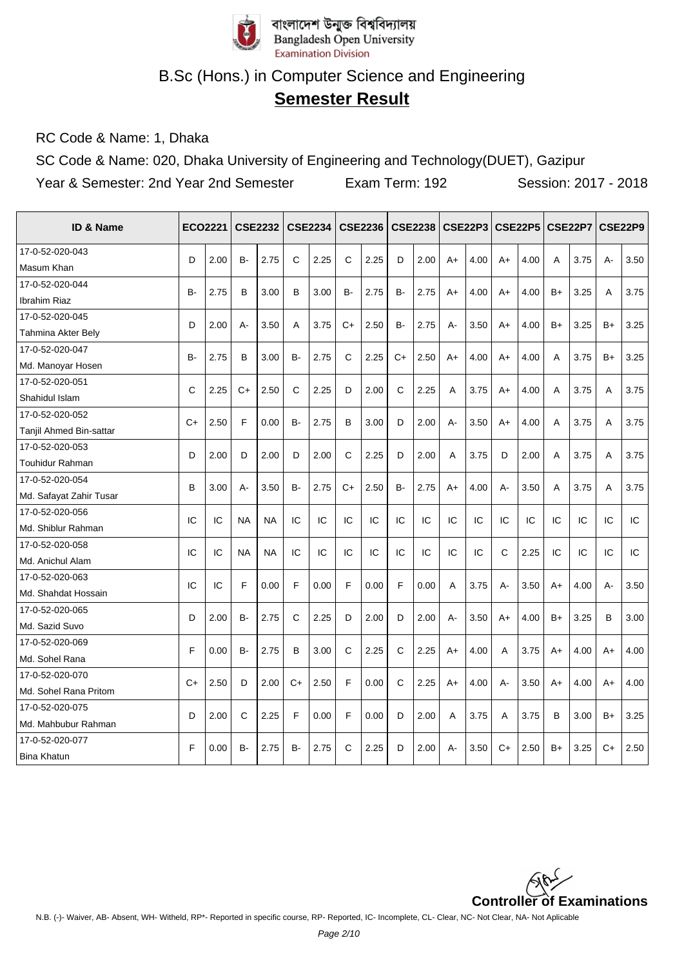

# **Semester Result**

RC Code & Name: 1, Dhaka

SC Code & Name: 020, Dhaka University of Engineering and Technology(DUET), Gazipur

| ID & Name               |           | <b>ECO2221</b> |           | <b>CSE2232</b> |           | <b>CSE2234</b> |              | <b>CSE2236</b> |           | CSE2238   CSE22P3 |       |      |             | <b>CSE22P5</b> |      | <b>CSE22P7</b> |      | CSE22P9 |
|-------------------------|-----------|----------------|-----------|----------------|-----------|----------------|--------------|----------------|-----------|-------------------|-------|------|-------------|----------------|------|----------------|------|---------|
| 17-0-52-020-043         | D         | 2.00           | <b>B-</b> | 2.75           | C         | 2.25           | C            | 2.25           | D         | 2.00              | $A+$  | 4.00 | $A+$        | 4.00           | A    | 3.75           | А-   | 3.50    |
| Masum Khan              |           |                |           |                |           |                |              |                |           |                   |       |      |             |                |      |                |      |         |
| 17-0-52-020-044         | B-        | 2.75           | B         | 3.00           | B         | 3.00           | B-           | 2.75           | B-        | 2.75              | $A+$  | 4.00 | A+          | 4.00           | B+   | 3.25           | A    | 3.75    |
| <b>Ibrahim Riaz</b>     |           |                |           |                |           |                |              |                |           |                   |       |      |             |                |      |                |      |         |
| 17-0-52-020-045         | D         | 2.00           | $A -$     | 3.50           | A         | 3.75           | $C+$         | 2.50           | <b>B-</b> | 2.75              | $A -$ | 3.50 | $A+$        | 4.00           | $B+$ | 3.25           | $B+$ | 3.25    |
| Tahmina Akter Bely      |           |                |           |                |           |                |              |                |           |                   |       |      |             |                |      |                |      |         |
| 17-0-52-020-047         | <b>B-</b> | 2.75           | B         | 3.00           | B-        | 2.75           | C            | 2.25           | $C+$      | 2.50              | $A+$  | 4.00 | $A+$        | 4.00           | A    | 3.75           | $B+$ | 3.25    |
| Md. Manoyar Hosen       |           |                |           |                |           |                |              |                |           |                   |       |      |             |                |      |                |      |         |
| 17-0-52-020-051         | C         | 2.25           | $C+$      | 2.50           | C         | 2.25           | D            | 2.00           | C         | 2.25              | A     | 3.75 | $A+$        | 4.00           | A    | 3.75           | A    | 3.75    |
| Shahidul Islam          |           |                |           |                |           |                |              |                |           |                   |       |      |             |                |      |                |      |         |
| 17-0-52-020-052         | $C+$      | 2.50           | F         | 0.00           | <b>B-</b> | 2.75           | B            | 3.00           | D         | 2.00              | $A -$ | 3.50 | $A+$        | 4.00           | A    | 3.75           | A    | 3.75    |
| Tanjil Ahmed Bin-sattar |           |                |           |                |           |                |              |                |           |                   |       |      |             |                |      |                |      |         |
| 17-0-52-020-053         | D         | 2.00           | D         | 2.00           | D         | 2.00           | $\mathsf{C}$ | 2.25           | D         | 2.00              | A     | 3.75 | D           | 2.00           | Α    | 3.75           | Α    | 3.75    |
| <b>Touhidur Rahman</b>  |           |                |           |                |           |                |              |                |           |                   |       |      |             |                |      |                |      |         |
| 17-0-52-020-054         | B         | 3.00           | A-        | 3.50           | <b>B-</b> | 2.75           | $C+$         | 2.50           | <b>B-</b> | 2.75              | $A+$  | 4.00 | A-          | 3.50           | A    | 3.75           | A    | 3.75    |
| Md. Safayat Zahir Tusar |           |                |           |                |           |                |              |                |           |                   |       |      |             |                |      |                |      |         |
| 17-0-52-020-056         | IC        | IC             | <b>NA</b> | <b>NA</b>      | IC        | IC             | IC           | IC             | IC        | IC                | IC    | IC   | IC          | IC             | IC   | IC             | IC   | IC      |
| Md. Shiblur Rahman      |           |                |           |                |           |                |              |                |           |                   |       |      |             |                |      |                |      |         |
| 17-0-52-020-058         | IC        | IC             | <b>NA</b> | <b>NA</b>      | IC        | IC             | IC           | IC             | IC        | IC                | IC    | IC   | $\mathbf C$ | 2.25           | IC   | IC             | IC   | IC      |
| Md. Anichul Alam        |           |                |           |                |           |                |              |                |           |                   |       |      |             |                |      |                |      |         |
| 17-0-52-020-063         | IC        | IC             | F         | 0.00           | F         | 0.00           | F            | 0.00           | F         | 0.00              | A     | 3.75 | $A -$       | 3.50           | $A+$ | 4.00           | A-   | 3.50    |
| Md. Shahdat Hossain     |           |                |           |                |           |                |              |                |           |                   |       |      |             |                |      |                |      |         |
| 17-0-52-020-065         | D         | 2.00           | <b>B-</b> | 2.75           | C         | 2.25           | D            | 2.00           | D         | 2.00              | $A -$ | 3.50 | $A+$        | 4.00           | $B+$ | 3.25           | B    | 3.00    |
| Md. Sazid Suvo          |           |                |           |                |           |                |              |                |           |                   |       |      |             |                |      |                |      |         |
| 17-0-52-020-069         | F         | 0.00           | B-        | 2.75           | B         | 3.00           | $\mathsf{C}$ | 2.25           | C         | 2.25              | $A+$  | 4.00 | A           | 3.75           | A+   | 4.00           | A+   | 4.00    |
| Md. Sohel Rana          |           |                |           |                |           |                |              |                |           |                   |       |      |             |                |      |                |      |         |
| 17-0-52-020-070         | $C+$      | 2.50           | D         | 2.00           | $C+$      | 2.50           | F            | 0.00           | C         | 2.25              | $A+$  | 4.00 | A-          | 3.50           | $A+$ | 4.00           | $A+$ | 4.00    |
| Md. Sohel Rana Pritom   |           |                |           |                |           |                |              |                |           |                   |       |      |             |                |      |                |      |         |
| 17-0-52-020-075         | D         | 2.00           | C         | 2.25           | F         |                | F            | 0.00           | D         | 2.00              | A     | 3.75 | A           |                | B    |                | B+   | 3.25    |
| Md. Mahbubur Rahman     |           |                |           |                |           | 0.00           |              |                |           |                   |       |      |             | 3.75           |      | 3.00           |      |         |
| 17-0-52-020-077         | F         | 0.00           | B-        | 2.75           | <b>B-</b> | 2.75           | C            | 2.25           | D         | 2.00              | $A -$ | 3.50 | $C+$        | 2.50           | $B+$ | 3.25           | $C+$ | 2.50    |
| <b>Bina Khatun</b>      |           |                |           |                |           |                |              |                |           |                   |       |      |             |                |      |                |      |         |

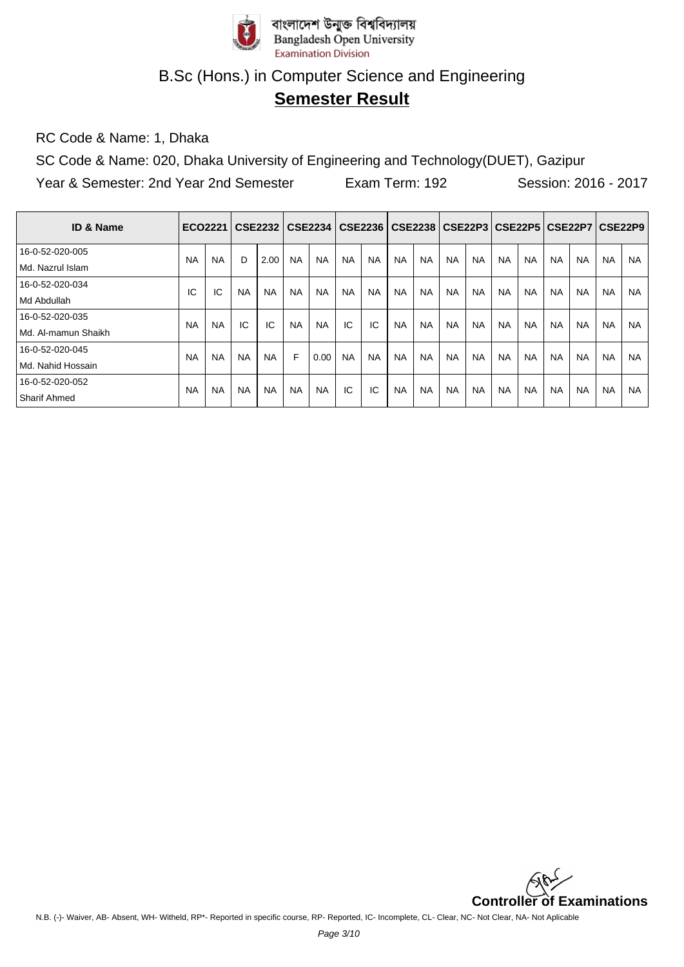

# **Semester Result**

RC Code & Name: 1, Dhaka

SC Code & Name: 020, Dhaka University of Engineering and Technology(DUET), Gazipur

| <b>ID &amp; Name</b>  |           |           |           | ECO2221   CSE2232   CSE2234 |           |           |           |           |           | CSE2236   CSE2238   CSE22P3   CSE22P5   CSE22P7   CSE22P9 |           |           |           |           |           |           |           |           |
|-----------------------|-----------|-----------|-----------|-----------------------------|-----------|-----------|-----------|-----------|-----------|-----------------------------------------------------------|-----------|-----------|-----------|-----------|-----------|-----------|-----------|-----------|
| 16-0-52-020-005       | <b>NA</b> | <b>NA</b> | D         | 2.00                        | <b>NA</b> | <b>NA</b> | <b>NA</b> | <b>NA</b> | <b>NA</b> | <b>NA</b>                                                 | <b>NA</b> | <b>NA</b> | <b>NA</b> | <b>NA</b> | <b>NA</b> | <b>NA</b> | <b>NA</b> | NA.       |
| Md. Nazrul Islam      |           |           |           |                             |           |           |           |           |           |                                                           |           |           |           |           |           |           |           |           |
| 16-0-52-020-034       | IC        |           | <b>NA</b> | <b>NA</b>                   | <b>NA</b> | <b>NA</b> | <b>NA</b> | <b>NA</b> | <b>NA</b> | <b>NA</b>                                                 | <b>NA</b> | <b>NA</b> | <b>NA</b> | <b>NA</b> | <b>NA</b> | <b>NA</b> | <b>NA</b> | <b>NA</b> |
| Md Abdullah           |           | IC        |           |                             |           |           |           |           |           |                                                           |           |           |           |           |           |           |           |           |
| 16-0-52-020-035       | <b>NA</b> | <b>NA</b> | IC        | IC                          | <b>NA</b> | <b>NA</b> | IC        | IC        | <b>NA</b> | <b>NA</b>                                                 | <b>NA</b> | <b>NA</b> | <b>NA</b> | <b>NA</b> | <b>NA</b> | <b>NA</b> | <b>NA</b> | <b>NA</b> |
| l Md. Al-mamun Shaikh |           |           |           |                             |           |           |           |           |           |                                                           |           |           |           |           |           |           |           |           |
| 16-0-52-020-045       | <b>NA</b> | <b>NA</b> | <b>NA</b> | <b>NA</b>                   | F         | 0.00      | <b>NA</b> | <b>NA</b> | <b>NA</b> | <b>NA</b>                                                 | <b>NA</b> | <b>NA</b> | <b>NA</b> | <b>NA</b> | <b>NA</b> | <b>NA</b> | <b>NA</b> | <b>NA</b> |
| l Md. Nahid Hossain   |           |           |           |                             |           |           |           |           |           |                                                           |           |           |           |           |           |           |           |           |
| 16-0-52-020-052       | <b>NA</b> | <b>NA</b> | <b>NA</b> | <b>NA</b>                   | <b>NA</b> | <b>NA</b> | IC        | IC        | <b>NA</b> | <b>NA</b>                                                 | <b>NA</b> | <b>NA</b> | <b>NA</b> | <b>NA</b> | <b>NA</b> | <b>NA</b> | <b>NA</b> | <b>NA</b> |
| <b>Sharif Ahmed</b>   |           |           |           |                             |           |           |           |           |           |                                                           |           |           |           |           |           |           |           |           |

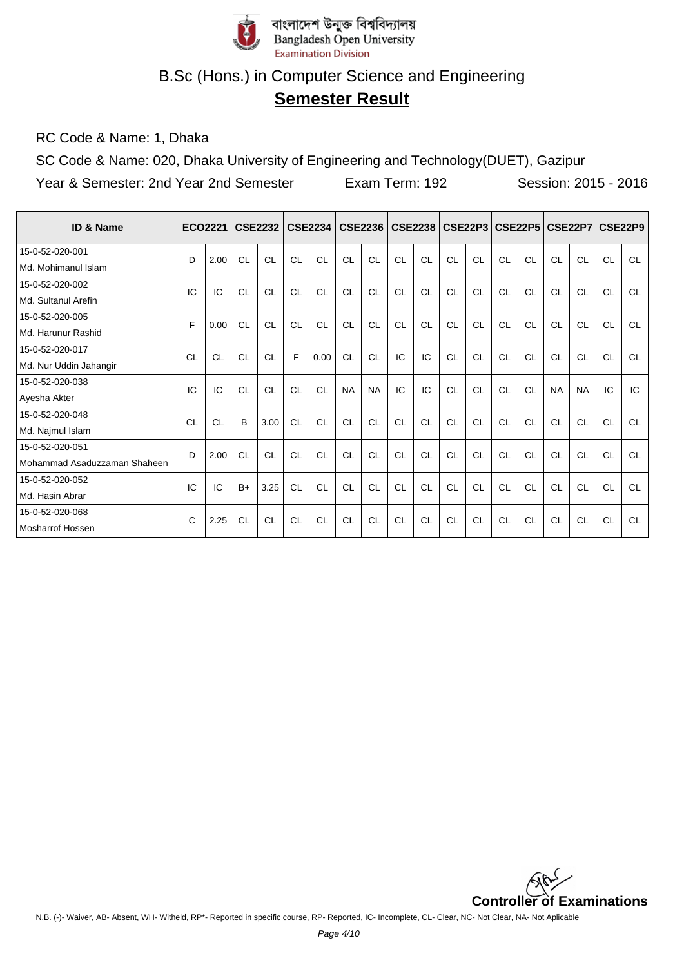

# **Semester Result**

RC Code & Name: 1, Dhaka

SC Code & Name: 020, Dhaka University of Engineering and Technology(DUET), Gazipur

| <b>ID &amp; Name</b>         | <b>ECO2221</b> |           |           | <b>CSE2232</b> |           | <b>CSE2234</b> |           | <b>CSE2236</b> |           |           | CSE2238   CSE22P3 |           |           | <b>CSE22P5 CSE22P7</b> |           |           | <b>CSE22P9</b> |           |
|------------------------------|----------------|-----------|-----------|----------------|-----------|----------------|-----------|----------------|-----------|-----------|-------------------|-----------|-----------|------------------------|-----------|-----------|----------------|-----------|
| 15-0-52-020-001              | D              | 2.00      | CL        | CL             | CL        | CL             | CL        | CL             | CL        | CL        | CL                | CL        | CL        | CL                     | CL        | CL        | <b>CL</b>      | CL        |
| Md. Mohimanul Islam          |                |           |           |                |           |                |           |                |           |           |                   |           |           |                        |           |           |                |           |
| 15-0-52-020-002              | IC             | IC        | CL        | CL             | CL        | CL             | CL        | <b>CL</b>      | CL        | CL        | CL                | CL        | CL        | CL                     | <b>CL</b> | CL        | CL             | <b>CL</b> |
| Md. Sultanul Arefin          |                |           |           |                |           |                |           |                |           |           |                   |           |           |                        |           |           |                |           |
| 15-0-52-020-005              | E              | 0.00      | <b>CL</b> | <b>CL</b>      | CL        | <b>CL</b>      | CL        | CL             | <b>CL</b> | CL        | CL                | CL        | CL        | CL                     | <b>CL</b> | <b>CL</b> | <b>CL</b>      | <b>CL</b> |
| Md. Harunur Rashid           |                |           |           |                |           |                |           |                |           |           |                   |           |           |                        |           |           |                |           |
| 15-0-52-020-017              | CL             | <b>CL</b> | <b>CL</b> | <b>CL</b>      | F         | 0.00           | <b>CL</b> | <b>CL</b>      | IC        | IC        | <b>CL</b>         | CL        | <b>CL</b> | <b>CL</b>              | <b>CL</b> | <b>CL</b> | <b>CL</b>      | <b>CL</b> |
| Md. Nur Uddin Jahangir       |                |           |           |                |           |                |           |                |           |           |                   |           |           |                        |           |           |                |           |
| 15-0-52-020-038              | IC             | IC        | <b>CL</b> | CL             | CL        | <b>CL</b>      | <b>NA</b> | <b>NA</b>      | IC        | IC        | CL                | CL        | CL        | CL                     | <b>NA</b> | <b>NA</b> | IC             | IC        |
| Ayesha Akter                 |                |           |           |                |           |                |           |                |           |           |                   |           |           |                        |           |           |                |           |
| 15-0-52-020-048              | CL             | CL        | B         | 3.00           | <b>CL</b> | <b>CL</b>      | CL        | <b>CL</b>      | <b>CL</b> | CL        | CL                | CL        | CL        | <b>CL</b>              | <b>CL</b> | <b>CL</b> | <b>CL</b>      | <b>CL</b> |
| Md. Najmul Islam             |                |           |           |                |           |                |           |                |           |           |                   |           |           |                        |           |           |                |           |
| 15-0-52-020-051              | D              | 2.00      | <b>CL</b> | <b>CL</b>      | CL        | <b>CL</b>      | CL        | <b>CL</b>      | <b>CL</b> | <b>CL</b> | <b>CL</b>         | CL        | CL        | CL                     | <b>CL</b> | CL        | <b>CL</b>      | <b>CL</b> |
| Mohammad Asaduzzaman Shaheen |                |           |           |                |           |                |           |                |           |           |                   |           |           |                        |           |           |                |           |
| 15-0-52-020-052              | IC             | IC        | $B+$      | 3.25           | CL        | CL             | <b>CL</b> | CL             | CL        | CL        | CL                | CL        | CL        | CL                     | CL        | CL        | CL             | <b>CL</b> |
| Md. Hasin Abrar              |                |           |           |                |           |                |           |                |           |           |                   |           |           |                        |           |           |                |           |
| 15-0-52-020-068              | C              | 2.25      | <b>CL</b> | <b>CL</b>      | <b>CL</b> | <b>CL</b>      | <b>CL</b> | <b>CL</b>      | <b>CL</b> | <b>CL</b> | <b>CL</b>         | <b>CL</b> | <b>CL</b> | <b>CL</b>              | <b>CL</b> | <b>CL</b> | <b>CL</b>      | <b>CL</b> |
| <b>Mosharrof Hossen</b>      |                |           |           |                |           |                |           |                |           |           |                   |           |           |                        |           |           |                |           |

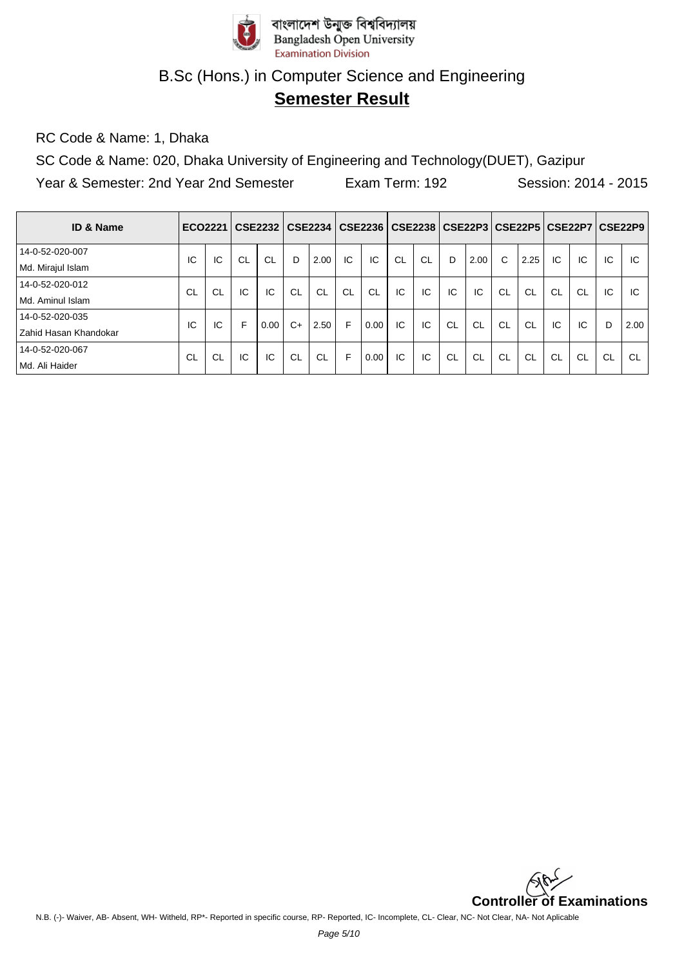

# **Semester Result**

RC Code & Name: 1, Dhaka

SC Code & Name: 020, Dhaka University of Engineering and Technology(DUET), Gazipur

| <b>ID &amp; Name</b>  |    |           |    | ECO2221   CSE2232   CSE2234 |           |           |           | CSE2236   CSE2238   CSE22P3   CSE22P5   CSE22P7   CSE22P9 |           |    |           |           |           |           |           |           |    |           |
|-----------------------|----|-----------|----|-----------------------------|-----------|-----------|-----------|-----------------------------------------------------------|-----------|----|-----------|-----------|-----------|-----------|-----------|-----------|----|-----------|
| 14-0-52-020-007       | ТC | IC        | CL | <b>CL</b>                   | D         | 2.00      | IC        | IC                                                        | <b>CL</b> | CL | D         | 2.00      | C         | 2.25      | IC        | IC.       | IC | IC        |
| Md. Mirajul Islam     |    |           |    |                             |           |           |           |                                                           |           |    |           |           |           |           |           |           |    |           |
| 14-0-52-020-012       | CL | <b>CL</b> | IC | IC                          | <b>CL</b> | <b>CL</b> | <b>CL</b> | <b>CL</b>                                                 | IC        | IC | IC        | IC        | <b>CL</b> | <b>CL</b> | CL        | <b>CL</b> | IC | IC        |
| l Md. Aminul Islam    |    |           |    |                             |           |           |           |                                                           |           |    |           |           |           |           |           |           |    |           |
| 14-0-52-020-035       | IC | IC        | F  | 0.00                        | $C+$      | 2.50      | F         | 0.00                                                      | IC        | IC | <b>CL</b> | <b>CL</b> | <b>CL</b> | <b>CL</b> | IC        | IC.       | D  | 2.00      |
| Zahid Hasan Khandokar |    |           |    |                             |           |           |           |                                                           |           |    |           |           |           |           |           |           |    |           |
| 14-0-52-020-067       | CL | <b>CL</b> | IC | IC                          | CL        | <b>CL</b> | F         | 0.00                                                      | IC        | IC | <b>CL</b> | -CL       | CL        | CL        | <b>CL</b> | CL        | CL | <b>CL</b> |
| l Md. Ali Haider      |    |           |    |                             |           |           |           |                                                           |           |    |           |           |           |           |           |           |    |           |

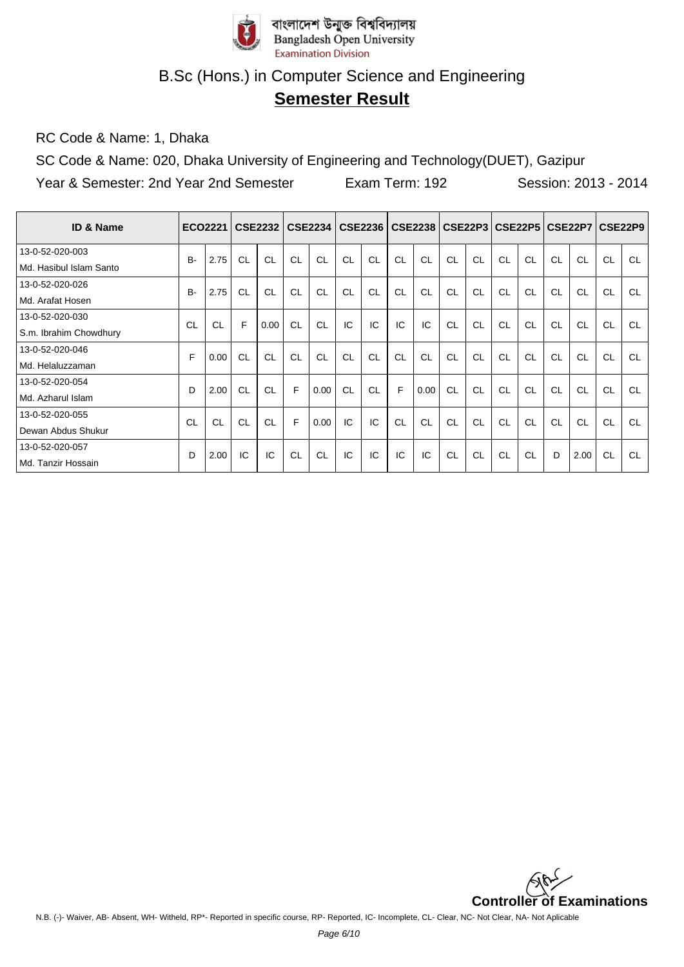

# **Semester Result**

RC Code & Name: 1, Dhaka

SC Code & Name: 020, Dhaka University of Engineering and Technology(DUET), Gazipur

| <b>ID &amp; Name</b>    |           | ECO2221 |           | <b>CSE2232</b> |    | <b>CSE2234</b> |    |           |    | CSE2236   CSE2238 |           | CSE22P3  CSE22P5 |    |           |           | CSE22P7 CSE22P9 |           |           |
|-------------------------|-----------|---------|-----------|----------------|----|----------------|----|-----------|----|-------------------|-----------|------------------|----|-----------|-----------|-----------------|-----------|-----------|
| 13-0-52-020-003         | <b>B-</b> | 2.75    | <b>CL</b> | CL             | CL | CL             | CL | <b>CL</b> | CL | CL                | <b>CL</b> | <b>CL</b>        | CL | <b>CL</b> | <b>CL</b> | <b>CL</b>       | <b>CL</b> | <b>CL</b> |
| Md. Hasibul Islam Santo |           |         |           |                |    |                |    |           |    |                   |           |                  |    |           |           |                 |           |           |
| 13-0-52-020-026         | <b>B-</b> | 2.75    | <b>CL</b> | CL             | CL | CL             | CL | CL        | CL | CL                | CL        | CL               | CL | CL        | CL        | CL              | CL        | CL        |
| Md. Arafat Hosen        |           |         |           |                |    |                |    |           |    |                   |           |                  |    |           |           |                 |           |           |
| 13-0-52-020-030         | CL        |         | F         | 0.00           | CL | CL             | IC | IC        | IC | IC                | <b>CL</b> | CL               | CL | CL        | <b>CL</b> | <b>CL</b>       | <b>CL</b> | CL        |
| S.m. Ibrahim Chowdhury  |           | CL      |           |                |    |                |    |           |    |                   |           |                  |    |           |           |                 |           |           |
| 13-0-52-020-046         | E         | 0.00    | CL        | CL             | CL | CL             | CL | CL        | CL | CL                | CL        | CL               | CL | CL        | <b>CL</b> | <b>CL</b>       | <b>CL</b> | <b>CL</b> |
| Md. Helaluzzaman        |           |         |           |                |    |                |    |           |    |                   |           |                  |    |           |           |                 |           |           |
| 13-0-52-020-054         | D         | 2.00    | <b>CL</b> | CL             | F. | 0.00           | CL | CL        | F  | 0.00              | CL        | CL               | CL | CL        | CL        | <b>CL</b>       | CL        | CL        |
| Md. Azharul Islam       |           |         |           |                |    |                |    |           |    |                   |           |                  |    |           |           |                 |           |           |
| 13-0-52-020-055         | CL        | CL      | CL        | CL             | E  | 0.00           | IC | IC        | CL | CL                | <b>CL</b> | CL               | CL | CL        | CL        | CL              | CL        | CL        |
| Dewan Abdus Shukur      |           |         |           |                |    |                |    |           |    |                   |           |                  |    |           |           |                 |           |           |
| 13-0-52-020-057         | D         | 2.00    | IC        | IC             | CL | <b>CL</b>      | IC | IC        | IC | IC                | <b>CL</b> | <b>CL</b>        | CL | <b>CL</b> | D         | 2.00            | <b>CL</b> | <b>CL</b> |
| Md. Tanzir Hossain      |           |         |           |                |    |                |    |           |    |                   |           |                  |    |           |           |                 |           |           |

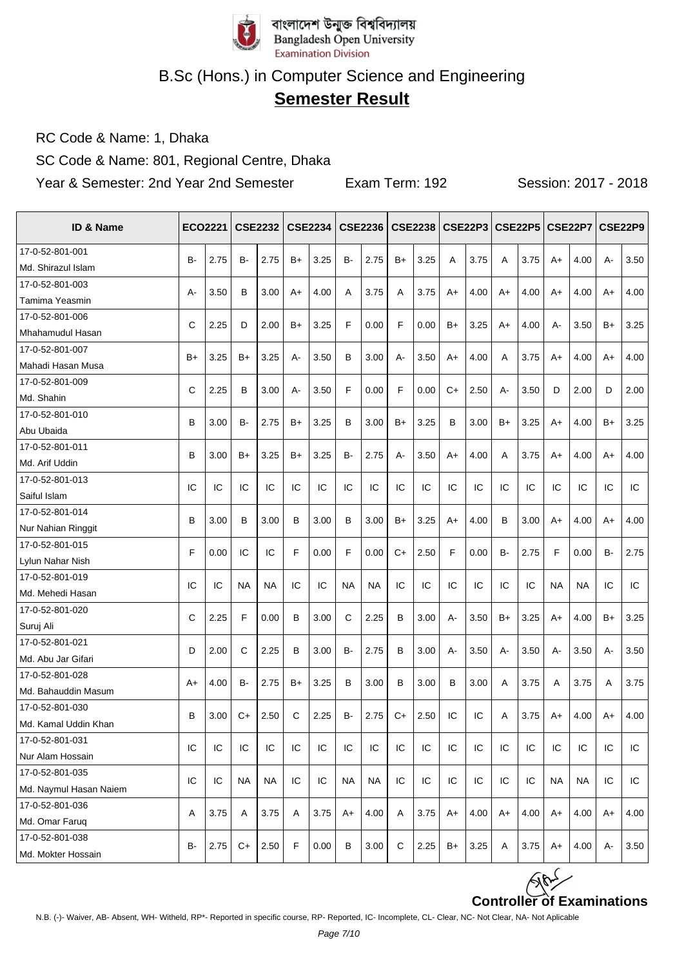

# **Semester Result**

RC Code & Name: 1, Dhaka

SC Code & Name: 801, Regional Centre, Dhaka

| ID & Name              |      | ECO2221 |           | <b>CSE2232</b> |    | <b>CSE2234</b> |           | <b>CSE2236</b> |       | <b>CSE2238</b> |      |      |      |      |           | CSE22P3   CSE22P5   CSE22P7   CSE22P9 |           |      |
|------------------------|------|---------|-----------|----------------|----|----------------|-----------|----------------|-------|----------------|------|------|------|------|-----------|---------------------------------------|-----------|------|
| 17-0-52-801-001        | B-   | 2.75    | B-        | 2.75           | B+ | 3.25           | B-        | 2.75           | $B+$  | 3.25           | A    | 3.75 | A    | 3.75 |           | 4.00                                  | А-        | 3.50 |
| Md. Shirazul Islam     |      |         |           |                |    |                |           |                |       |                |      |      |      |      | A+        |                                       |           |      |
| 17-0-52-801-003        | А-   | 3.50    | В         | 3.00           | A+ | 4.00           | A         | 3.75           | Α     | 3.75           | A+   | 4.00 | A+   | 4.00 | A+        | 4.00                                  | A+        | 4.00 |
| Tamima Yeasmin         |      |         |           |                |    |                |           |                |       |                |      |      |      |      |           |                                       |           |      |
| 17-0-52-801-006        | C    | 2.25    | D         | 2.00           | B+ | 3.25           | F         | 0.00           | F     | 0.00           | $B+$ | 3.25 | A+   | 4.00 | А-        | 3.50                                  | B+        | 3.25 |
| Mhahamudul Hasan       |      |         |           |                |    |                |           |                |       |                |      |      |      |      |           |                                       |           |      |
| 17-0-52-801-007        | $B+$ | 3.25    | B+        | 3.25           | А- | 3.50           | B         | 3.00           | $A -$ | 3.50           | $A+$ | 4.00 | A    | 3.75 | A+        | 4.00                                  | A+        | 4.00 |
| Mahadi Hasan Musa      |      |         |           |                |    |                |           |                |       |                |      |      |      |      |           |                                       |           |      |
| 17-0-52-801-009        | C    | 2.25    | В         | 3.00           | А- | 3.50           | F         | 0.00           | F     | 0.00           | C+   | 2.50 | А-   | 3.50 | D         | 2.00                                  | D         | 2.00 |
| Md. Shahin             |      |         |           |                |    |                |           |                |       |                |      |      |      |      |           |                                       |           |      |
| 17-0-52-801-010        | B    | 3.00    | B-        | 2.75           | B+ | 3.25           | B         | 3.00           | $B+$  | 3.25           | B    | 3.00 | $B+$ | 3.25 | A+        | 4.00                                  | B+        | 3.25 |
| Abu Ubaida             |      |         |           |                |    |                |           |                |       |                |      |      |      |      |           |                                       |           |      |
| 17-0-52-801-011        | B    | 3.00    | $B+$      | 3.25           | B+ | 3.25           | B-        | 2.75           | $A -$ | 3.50           | $A+$ | 4.00 | A    | 3.75 | A+        | 4.00                                  | $A+$      | 4.00 |
| Md. Arif Uddin         |      |         |           |                |    |                |           |                |       |                |      |      |      |      |           |                                       |           |      |
| 17-0-52-801-013        | IC   | IC      | IC        | IC             | IC | IC             | IC        | IC             | IC    | IC             | IC   | IC   | IC   | IC   | IC        | IC                                    | IC        | IC   |
| Saiful Islam           |      |         |           |                |    |                |           |                |       |                |      |      |      |      |           |                                       |           |      |
| 17-0-52-801-014        | B    | 3.00    | B         | 3.00           | в  | 3.00           | B         | 3.00           | B+    | 3.25           | $A+$ | 4.00 | B    | 3.00 | A+        | 4.00                                  | A+        | 4.00 |
| Nur Nahian Ringgit     |      |         |           |                |    |                |           |                |       |                |      |      |      |      |           |                                       |           |      |
| 17-0-52-801-015        | F    | 0.00    | IC        | IC             | F  | 0.00           | F         | 0.00           | $C+$  | 2.50           | F    | 0.00 | B-   | 2.75 | F         | 0.00                                  | <b>B-</b> | 2.75 |
| Lylun Nahar Nish       |      |         |           |                |    |                |           |                |       |                |      |      |      |      |           |                                       |           |      |
| 17-0-52-801-019        | IC   | IC      | <b>NA</b> | NA             | IC | IC             | <b>NA</b> | <b>NA</b>      | IC    | IC             | IC   | IC   | IC   | IC   | <b>NA</b> | NA                                    | IC        | IC   |
| Md. Mehedi Hasan       |      |         |           |                |    |                |           |                |       |                |      |      |      |      |           |                                       |           |      |
| 17-0-52-801-020        | C    | 2.25    | F         | 0.00           | в  | 3.00           | C         | 2.25           | B     | 3.00           | А-   | 3.50 | B+   | 3.25 | A+        | 4.00                                  | B+        | 3.25 |
| Suruj Ali              |      |         |           |                |    |                |           |                |       |                |      |      |      |      |           |                                       |           |      |
| 17-0-52-801-021        | D    | 2.00    | С         | 2.25           | В  | 3.00           | B-        | 2.75           | B     | 3.00           | А-   | 3.50 | А-   | 3.50 | А-        | 3.50                                  | А-        | 3.50 |
| Md. Abu Jar Gifari     |      |         |           |                |    |                |           |                |       |                |      |      |      |      |           |                                       |           |      |
| 17-0-52-801-028        | A+   | 4.00    | B-        | 2.75           | B+ | 3.25           | B         | 3.00           | B     | 3.00           | B    | 3.00 | Α    | 3.75 | Α         | 3.75                                  | Α         | 3.75 |
| Md. Bahauddin Masum    |      |         |           |                |    |                |           |                |       |                |      |      |      |      |           |                                       |           |      |
| 17-0-52-801-030        | B    | 3.00    | C+        | 2.50           | C  | 2.25           | B-        | 2.75           | $C+$  | 2.50           | IC   | IC   | A    | 3.75 | A+        | 4.00                                  | A+        | 4.00 |
| Md. Kamal Uddin Khan   |      |         |           |                |    |                |           |                |       |                |      |      |      |      |           |                                       |           |      |
| 17-0-52-801-031        | IC   | IC      | IC        | IC             | IC | IC             | IC        | IC             | IC    | IC             | IC   | IC   | IC   | IC   | IC        | IC                                    | IC        | IC   |
| Nur Alam Hossain       |      |         |           |                |    |                |           |                |       |                |      |      |      |      |           |                                       |           |      |
| 17-0-52-801-035        | IC   | IC      | <b>NA</b> | <b>NA</b>      | IC | IC             | <b>NA</b> | <b>NA</b>      | IC    | IC             | IC   | IC   | IC   | IC   | <b>NA</b> | NA                                    | IC        | IC   |
| Md. Naymul Hasan Naiem |      |         |           |                |    |                |           |                |       |                |      |      |      |      |           |                                       |           |      |
| 17-0-52-801-036        |      |         |           |                |    |                |           |                |       |                |      |      |      |      |           |                                       |           |      |
| Md. Omar Faruq         | Α    | 3.75    | Α         | 3.75           | Α  | 3.75           | A+        | 4.00           | Α     | 3.75           | A+   | 4.00 | $A+$ | 4.00 | A+        | 4.00                                  | A+        | 4.00 |
| 17-0-52-801-038        |      |         |           |                | F  |                |           |                |       |                |      |      |      |      |           |                                       |           |      |
| Md. Mokter Hossain     | B-   | 2.75    | $C+$      | 2.50           |    | 0.00           | В         | 3.00           | С     | 2.25           | B+   | 3.25 | Α    | 3.75 | A+        | 4.00                                  | А-        | 3.50 |

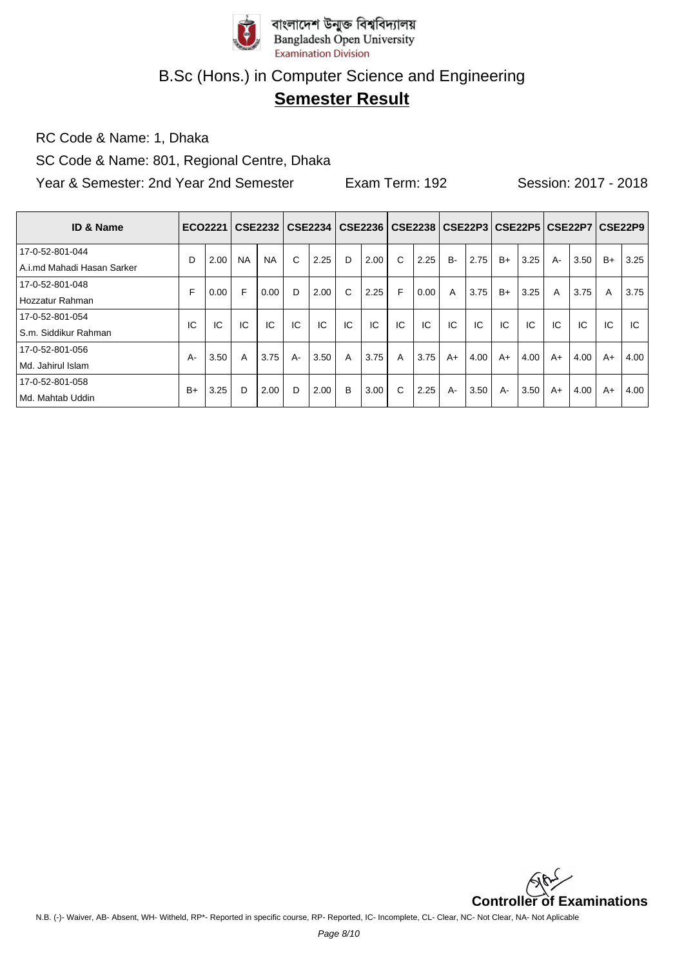

# **Semester Result**

RC Code & Name: 1, Dhaka

SC Code & Name: 801, Regional Centre, Dhaka

| <b>ID &amp; Name</b>         | ECO2221 |      |           | CSE2232   |    | CSE2234 |    | CSE2236   CSE2238   CSE22P3   CSE22P5   CSE22P7 |    |      |           |      |      |      |      |      |      | CSE22P9 |
|------------------------------|---------|------|-----------|-----------|----|---------|----|-------------------------------------------------|----|------|-----------|------|------|------|------|------|------|---------|
| 17-0-52-801-044              | D       | 2.00 | <b>NA</b> | <b>NA</b> | C  | 2.25    | D  | 2.00                                            | C  | 2.25 | <b>B-</b> | 2.75 | $B+$ | 3.25 | $A-$ | 3.50 | $B+$ | 3.25    |
| l A.i.md Mahadi Hasan Sarker |         |      |           |           |    |         |    |                                                 |    |      |           |      |      |      |      |      |      |         |
| 17-0-52-801-048              | F       | 0.00 | F         | 0.00      | D  | 2.00    | C  | 2.25                                            | F  | 0.00 | A         | 3.75 | $B+$ | 3.25 | A    | 3.75 | A    | 3.75    |
| Hozzatur Rahman              |         |      |           |           |    |         |    |                                                 |    |      |           |      |      |      |      |      |      |         |
| 17-0-52-801-054              | IC      | IC   | IC        | IC        | IC | IC      | IC | IC                                              | IC | IC   | IC        | IC   | IC.  | IC   | IC   | IC   | IC   | IC.     |
| S.m. Siddikur Rahman         |         |      |           |           |    |         |    |                                                 |    |      |           |      |      |      |      |      |      |         |
| 17-0-52-801-056              | A-      | 3.50 | A         | 3.75      | A- | 3.50    | A  | 3.75                                            | A  | 3.75 | $A+$      | 4.00 | $A+$ | 4.00 | $A+$ | 4.00 | $A+$ | 4.00    |
| Md. Jahirul Islam            |         |      |           |           |    |         |    |                                                 |    |      |           |      |      |      |      |      |      |         |
| 17-0-52-801-058              | $B+$    | 3.25 | D         | 2.00      | D  | 2.00    | B  | 3.00                                            | C  | 2.25 | $A -$     | 3.50 | $A-$ | 3.50 | $A+$ | 4.00 | $A+$ | 4.00    |
| Md. Mahtab Uddin             |         |      |           |           |    |         |    |                                                 |    |      |           |      |      |      |      |      |      |         |

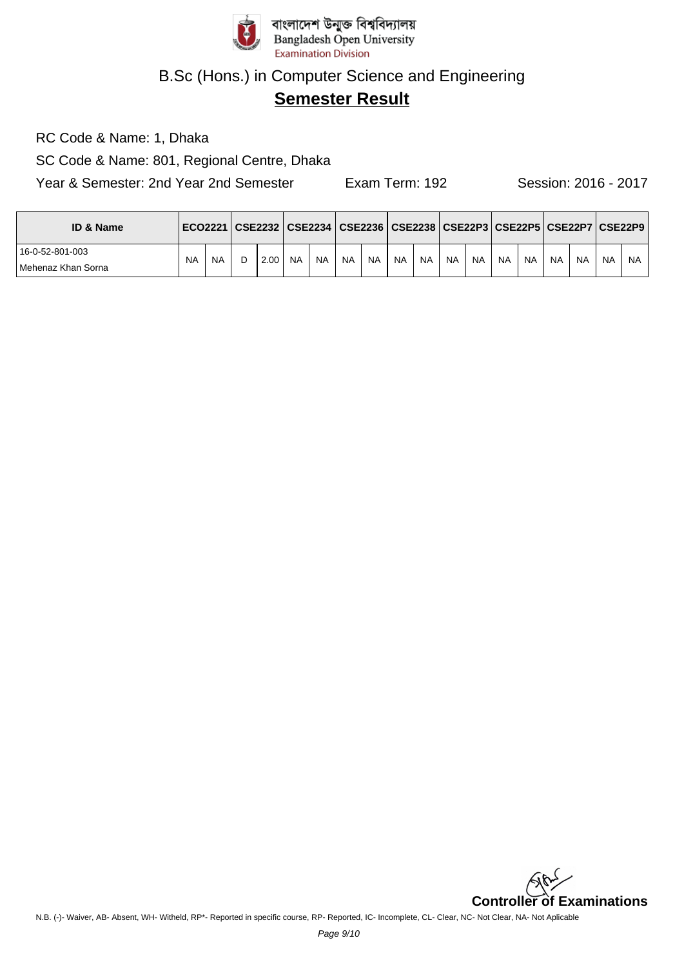

# **Semester Result**

RC Code & Name: 1, Dhaka

SC Code & Name: 801, Regional Centre, Dhaka

| <b>ID &amp; Name</b>                    |           |           | ECO2221   CSE2232   CSE2234   CSE2236   CSE2238   CSE22P3   CSE22P5   CSE22P7   CSE22P9 |           |           |           |           |           |           |           |           |           |           |           |           |           |     |
|-----------------------------------------|-----------|-----------|-----------------------------------------------------------------------------------------|-----------|-----------|-----------|-----------|-----------|-----------|-----------|-----------|-----------|-----------|-----------|-----------|-----------|-----|
| 16-0-52-801-003<br>l Mehenaz Khan Sorna | <b>NA</b> | <b>NA</b> | 2.00                                                                                    | <b>NA</b> | <b>NA</b> | <b>NA</b> | <b>NA</b> | <b>NA</b> | <b>NA</b> | <b>NA</b> | <b>NA</b> | <b>NA</b> | <b>NA</b> | <b>NA</b> | <b>NA</b> | <b>NA</b> | NA. |